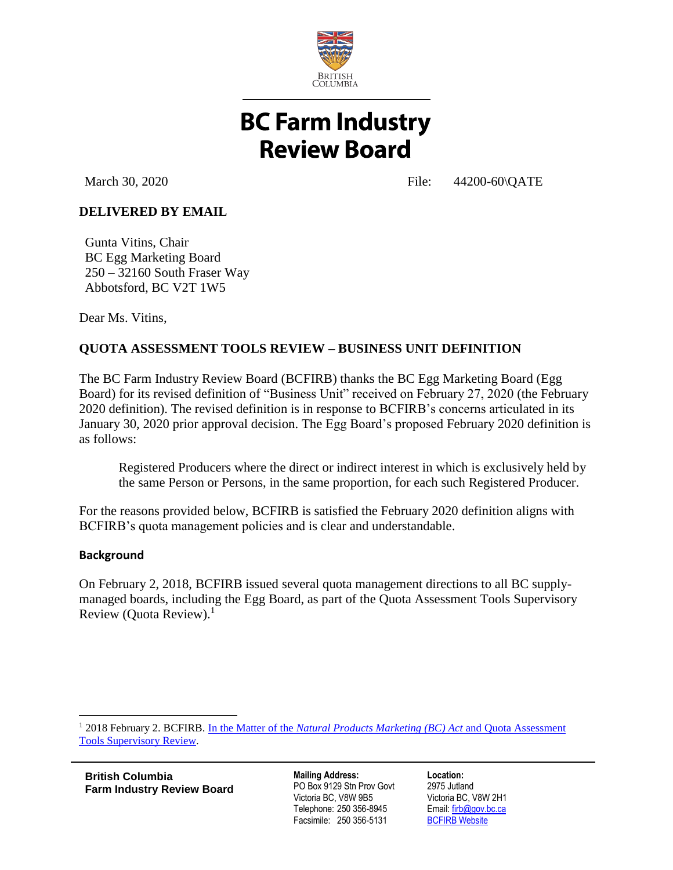

# **BC Farm Industry Review Board**

March 30, 2020 **File:** 44200-60\QATE

## **DELIVERED BY EMAIL**

Gunta Vitins, Chair BC Egg Marketing Board 250 – 32160 South Fraser Way Abbotsford, BC V2T 1W5

Dear Ms. Vitins,

## **QUOTA ASSESSMENT TOOLS REVIEW – BUSINESS UNIT DEFINITION**

The BC Farm Industry Review Board (BCFIRB) thanks the BC Egg Marketing Board (Egg Board) for its revised definition of "Business Unit" received on February 27, 2020 (the February 2020 definition). The revised definition is in response to BCFIRB's concerns articulated in its January 30, 2020 prior approval decision. The Egg Board's proposed February 2020 definition is as follows:

Registered Producers where the direct or indirect interest in which is exclusively held by the same Person or Persons, in the same proportion, for each such Registered Producer.

For the reasons provided below, BCFIRB is satisfied the February 2020 definition aligns with BCFIRB's quota management policies and is clear and understandable.

#### **Background**

 $\overline{a}$ 

On February 2, 2018, BCFIRB issued several quota management directions to all BC supplymanaged boards, including the Egg Board, as part of the Quota Assessment Tools Supervisory Review (Quota Review).<sup>1</sup>

<sup>1</sup> 2018 February 2. BCFIRB. In the Matter of the *[Natural Products Marketing \(BC\) Act](https://www2.gov.bc.ca/assets/gov/british-columbians-our-governments/organizational-structure/boards-commissions-tribunals/bc-farm-industry-review-board/regulated-marketing/supervisory-reviews/2016-quota-assessment-tools-evaluation-project/2018_feb_2_quota_assessment_tools_supervisory_review.pdf)* and Quota Assessment [Tools Supervisory Review.](https://www2.gov.bc.ca/assets/gov/british-columbians-our-governments/organizational-structure/boards-commissions-tribunals/bc-farm-industry-review-board/regulated-marketing/supervisory-reviews/2016-quota-assessment-tools-evaluation-project/2018_feb_2_quota_assessment_tools_supervisory_review.pdf)

**British Columbia Farm Industry Review Board**

**Mailing Address:** PO Box 9129 Stn Prov Govt Victoria BC, V8W 9B5 Telephone: 250 356-8945 Facsimile: 250 356-5131

**Location:** 2975 Jutland Victoria BC, V8W 2H1 Email: [firb@gov.bc.ca](mailto:firb@gov.bc.ca) **[BCFIRB Website](https://www2.gov.bc.ca/gov/content/governments/organizational-structure/ministries-organizations/boards-commissions-tribunals/bc-farm-industry-review-board)**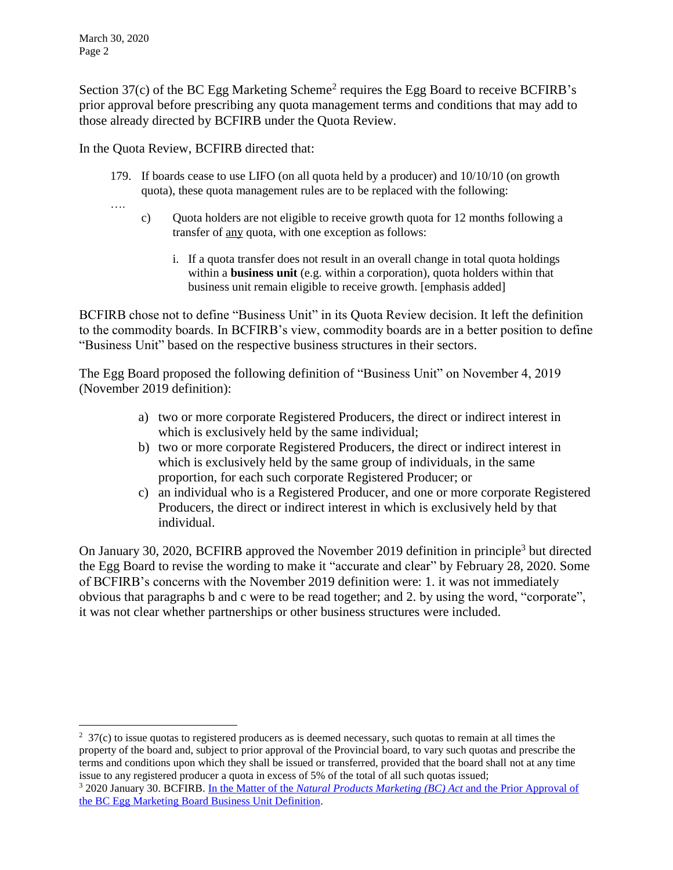Section  $37(c)$  of the BC Egg Marketing Scheme<sup>2</sup> requires the Egg Board to receive BCFIRB's prior approval before prescribing any quota management terms and conditions that may add to those already directed by BCFIRB under the Quota Review.

In the Quota Review, BCFIRB directed that:

179. If boards cease to use LIFO (on all quota held by a producer) and 10/10/10 (on growth quota), these quota management rules are to be replaced with the following:

….

 $\overline{a}$ 

- c) Quota holders are not eligible to receive growth quota for 12 months following a transfer of any quota, with one exception as follows:
	- i. If a quota transfer does not result in an overall change in total quota holdings within a **business unit** (e.g. within a corporation), quota holders within that business unit remain eligible to receive growth. [emphasis added]

BCFIRB chose not to define "Business Unit" in its Quota Review decision. It left the definition to the commodity boards. In BCFIRB's view, commodity boards are in a better position to define "Business Unit" based on the respective business structures in their sectors.

The Egg Board proposed the following definition of "Business Unit" on November 4, 2019 (November 2019 definition):

- a) two or more corporate Registered Producers, the direct or indirect interest in which is exclusively held by the same individual;
- b) two or more corporate Registered Producers, the direct or indirect interest in which is exclusively held by the same group of individuals, in the same proportion, for each such corporate Registered Producer; or
- c) an individual who is a Registered Producer, and one or more corporate Registered Producers, the direct or indirect interest in which is exclusively held by that individual.

On January 30, 2020, BCFIRB approved the November 2019 definition in principle<sup>3</sup> but directed the Egg Board to revise the wording to make it "accurate and clear" by February 28, 2020. Some of BCFIRB's concerns with the November 2019 definition were: 1. it was not immediately obvious that paragraphs b and c were to be read together; and 2. by using the word, "corporate", it was not clear whether partnerships or other business structures were included.

 $2\overline{37}$ (c) to issue quotas to registered producers as is deemed necessary, such quotas to remain at all times the property of the board and, subject to prior approval of the Provincial board, to vary such quotas and prescribe the terms and conditions upon which they shall be issued or transferred, provided that the board shall not at any time issue to any registered producer a quota in excess of 5% of the total of all such quotas issued;

<sup>3</sup> 2020 January 30. BCFIRB. In the Matter of the *[Natural Products Marketing \(BC\) Act](https://www2.gov.bc.ca/assets/gov/british-columbians-our-governments/organizational-structure/boards-commissions-tribunals/bc-farm-industry-review-board/regulated-marketing/supervisory-reviews/2016-quota-assessment-tools-evaluation-project/2020_jan_30_emb_qate_implementation.pdf)* and the Prior Approval of [the BC Egg Marketing Board Business Unit Definition.](https://www2.gov.bc.ca/assets/gov/british-columbians-our-governments/organizational-structure/boards-commissions-tribunals/bc-farm-industry-review-board/regulated-marketing/supervisory-reviews/2016-quota-assessment-tools-evaluation-project/2020_jan_30_emb_qate_implementation.pdf)